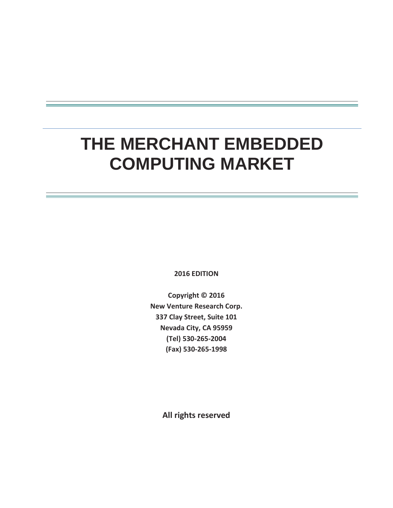# **THE MERCHANT EMBEDDED COMPUTING MARKET**

**2016 EDITION** 

**Copyright © 2016 New Venture Research Corp. 337 Clay Street, Suite 101 Nevada City, CA 95959 (Tel) 530-265-2004 (Fax) 530-265-1998** 

**All rights reserved**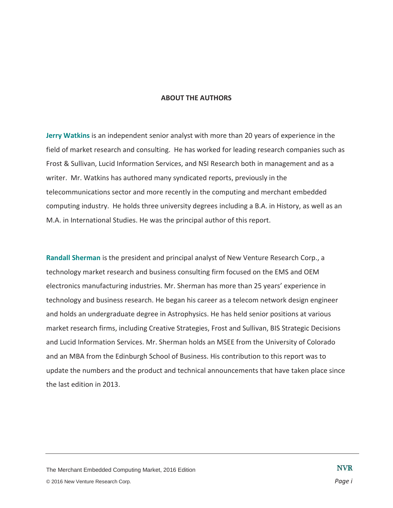#### **ABOUT THE AUTHORS**

**Jerry Watkins** is an independent senior analyst with more than 20 years of experience in the field of market research and consulting. He has worked for leading research companies such as Frost & Sullivan, Lucid Information Services, and NSI Research both in management and as a writer. Mr. Watkins has authored many syndicated reports, previously in the telecommunications sector and more recently in the computing and merchant embedded computing industry. He holds three university degrees including a B.A. in History, as well as an M.A. in International Studies. He was the principal author of this report.

**Randall Sherman** is the president and principal analyst of New Venture Research Corp., a technology market research and business consulting firm focused on the EMS and OEM electronics manufacturing industries. Mr. Sherman has more than 25 years' experience in technology and business research. He began his career as a telecom network design engineer and holds an undergraduate degree in Astrophysics. He has held senior positions at various market research firms, including Creative Strategies, Frost and Sullivan, BIS Strategic Decisions and Lucid Information Services. Mr. Sherman holds an MSEE from the University of Colorado and an MBA from the Edinburgh School of Business. His contribution to this report was to update the numbers and the product and technical announcements that have taken place since the last edition in 2013.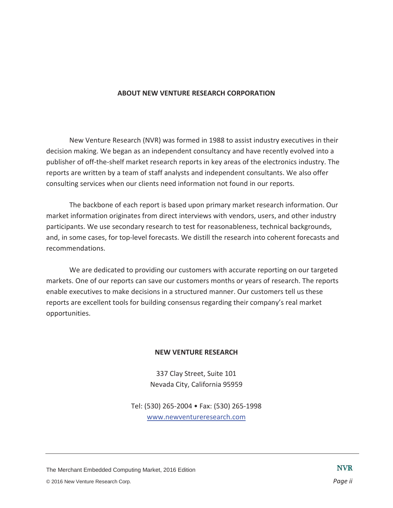#### **ABOUT NEW VENTURE RESEARCH CORPORATION**

New Venture Research (NVR) was formed in 1988 to assist industry executives in their decision making. We began as an independent consultancy and have recently evolved into a publisher of off-the-shelf market research reports in key areas of the electronics industry. The reports are written by a team of staff analysts and independent consultants. We also offer consulting services when our clients need information not found in our reports.

The backbone of each report is based upon primary market research information. Our market information originates from direct interviews with vendors, users, and other industry participants. We use secondary research to test for reasonableness, technical backgrounds, and, in some cases, for top-level forecasts. We distill the research into coherent forecasts and recommendations.

We are dedicated to providing our customers with accurate reporting on our targeted markets. One of our reports can save our customers months or years of research. The reports enable executives to make decisions in a structured manner. Our customers tell us these reports are excellent tools for building consensus regarding their company's real market opportunities.

#### **NEW VENTURE RESEARCH**

337 Clay Street, Suite 101 Nevada City, California 95959

Tel: (530) 265-2004 • Fax: (530) 265-1998 www.newventureresearch.com

The Merchant Embedded Computing Market, 2016 Edition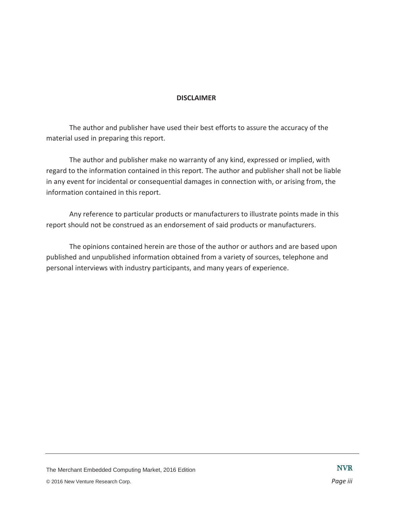#### **DISCLAIMER**

The author and publisher have used their best efforts to assure the accuracy of the material used in preparing this report.

The author and publisher make no warranty of any kind, expressed or implied, with regard to the information contained in this report. The author and publisher shall not be liable in any event for incidental or consequential damages in connection with, or arising from, the information contained in this report.

Any reference to particular products or manufacturers to illustrate points made in this report should not be construed as an endorsement of said products or manufacturers.

The opinions contained herein are those of the author or authors and are based upon published and unpublished information obtained from a variety of sources, telephone and personal interviews with industry participants, and many years of experience.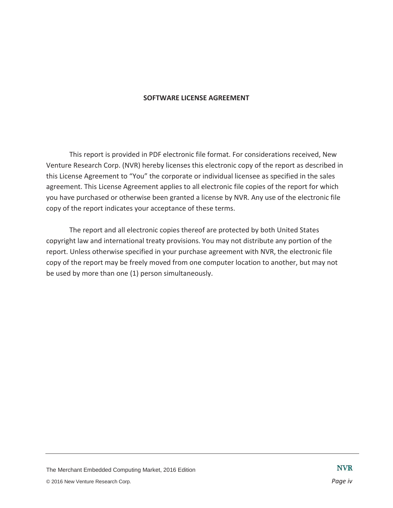#### **SOFTWARE LICENSE AGREEMENT**

This report is provided in PDF electronic file format. For considerations received, New Venture Research Corp. (NVR) hereby licenses this electronic copy of the report as described in this License Agreement to "You" the corporate or individual licensee as specified in the sales agreement. This License Agreement applies to all electronic file copies of the report for which you have purchased or otherwise been granted a license by NVR. Any use of the electronic file copy of the report indicates your acceptance of these terms.

The report and all electronic copies thereof are protected by both United States copyright law and international treaty provisions. You may not distribute any portion of the report. Unless otherwise specified in your purchase agreement with NVR, the electronic file copy of the report may be freely moved from one computer location to another, but may not be used by more than one (1) person simultaneously.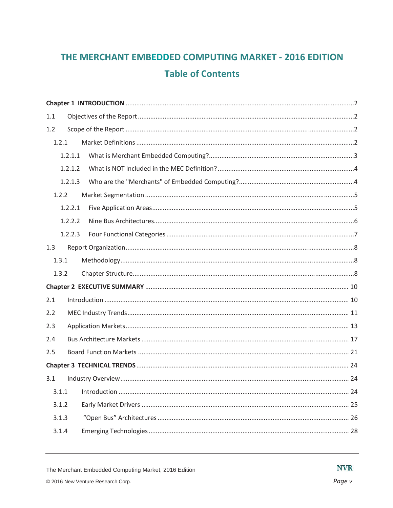## THE MERCHANT EMBEDDED COMPUTING MARKET - 2016 EDITION **Table of Contents**

| 1.1     |  |
|---------|--|
| 1.2     |  |
| 1.2.1   |  |
| 1.2.1.1 |  |
| 1.2.1.2 |  |
| 1.2.1.3 |  |
| 1.2.2   |  |
| 1.2.2.1 |  |
| 1.2.2.2 |  |
| 1.2.2.3 |  |
| 1.3     |  |
| 1.3.1   |  |
| 1.3.2   |  |
|         |  |
| 2.1     |  |
| 2.2     |  |
| 2.3     |  |
| 2.4     |  |
| 2.5     |  |
|         |  |
| 3.1     |  |
| 3.1.1   |  |
| 3.1.2   |  |
| 3.1.3   |  |
| 3.1.4   |  |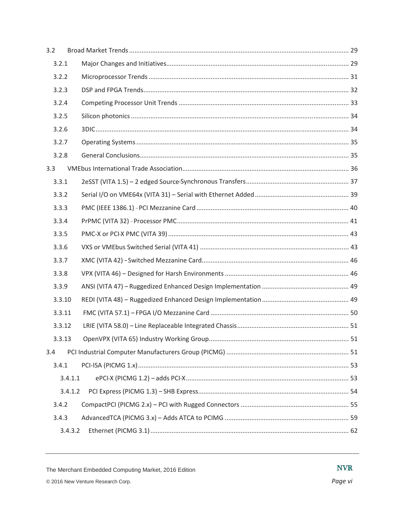| 3.2     |  |
|---------|--|
| 3.2.1   |  |
| 3.2.2   |  |
| 3.2.3   |  |
| 3.2.4   |  |
| 3.2.5   |  |
| 3.2.6   |  |
| 3.2.7   |  |
| 3.2.8   |  |
| 3.3     |  |
| 3.3.1   |  |
| 3.3.2   |  |
| 3.3.3   |  |
| 3.3.4   |  |
| 3.3.5   |  |
| 3.3.6   |  |
| 3.3.7   |  |
| 3.3.8   |  |
| 3.3.9   |  |
| 3.3.10  |  |
| 3.3.11  |  |
| 3.3.12  |  |
| 3.3.13  |  |
| 3.4     |  |
| 3.4.1   |  |
| 3.4.1.1 |  |
| 3.4.1.2 |  |
| 3.4.2   |  |
| 3.4.3   |  |
| 3.4.3.2 |  |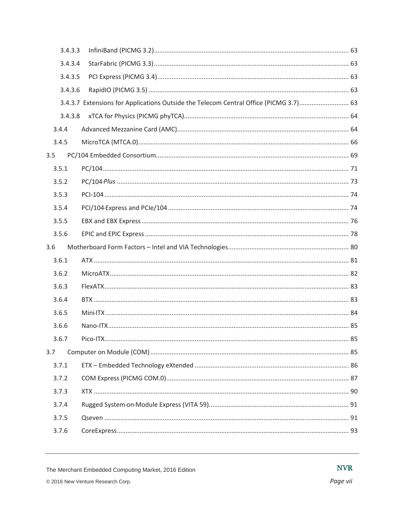| 3.4.3.3 |                                                                                       |  |
|---------|---------------------------------------------------------------------------------------|--|
| 3.4.3.4 |                                                                                       |  |
| 3.4.3.5 |                                                                                       |  |
| 3.4.3.6 |                                                                                       |  |
|         | 3.4.3.7 Extensions for Applications Outside the Telecom Central Office (PICMG 3.7) 63 |  |
| 3.4.3.8 |                                                                                       |  |
| 3.4.4   |                                                                                       |  |
| 3.4.5   |                                                                                       |  |
| 3.5     |                                                                                       |  |
| 3.5.1   |                                                                                       |  |
| 3.5.2   |                                                                                       |  |
| 3.5.3   |                                                                                       |  |
| 3.5.4   |                                                                                       |  |
| 3.5.5   |                                                                                       |  |
|         |                                                                                       |  |
| 3.5.6   |                                                                                       |  |
| 3.6     |                                                                                       |  |
| 3.6.1   |                                                                                       |  |
| 3.6.2   |                                                                                       |  |
| 3.6.3   |                                                                                       |  |
| 3.6.4   |                                                                                       |  |
| 3.6.5   |                                                                                       |  |
| 3.6.6   |                                                                                       |  |
| 3.6.7   |                                                                                       |  |
| 3.7     |                                                                                       |  |
| 3.7.1   |                                                                                       |  |
| 3.7.2   |                                                                                       |  |
| 3.7.3   |                                                                                       |  |
| 3.7.4   |                                                                                       |  |
| 3.7.5   |                                                                                       |  |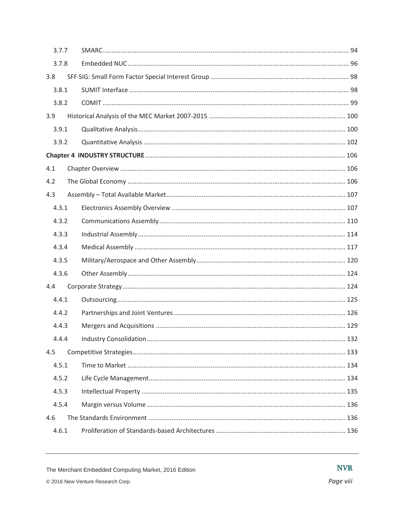| 3.7.7 |  |  |
|-------|--|--|
| 3.7.8 |  |  |
| 3.8   |  |  |
| 3.8.1 |  |  |
| 3.8.2 |  |  |
| 3.9   |  |  |
| 3.9.1 |  |  |
| 3.9.2 |  |  |
|       |  |  |
| 4.1   |  |  |
| 4.2   |  |  |
| 4.3   |  |  |
| 4.3.1 |  |  |
| 4.3.2 |  |  |
| 4.3.3 |  |  |
| 4.3.4 |  |  |
| 4.3.5 |  |  |
| 4.3.6 |  |  |
| 4.4   |  |  |
| 4.4.1 |  |  |
| 4.4.2 |  |  |
| 4.4.3 |  |  |
| 4.4.4 |  |  |
| 4.5   |  |  |
| 4.5.1 |  |  |
| 4.5.2 |  |  |
| 4.5.3 |  |  |
| 4.5.4 |  |  |
| 4.6   |  |  |
| 4.6.1 |  |  |

**NVR**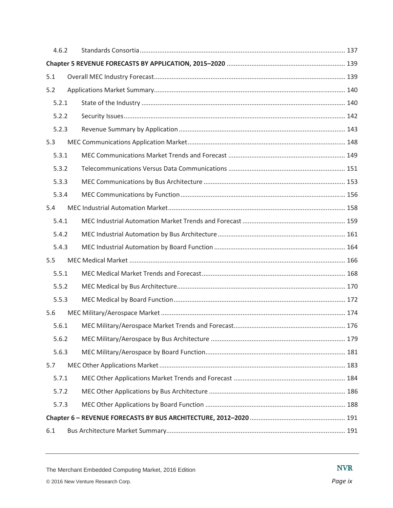| 4.6.2 |  |  |
|-------|--|--|
|       |  |  |
| 5.1   |  |  |
| 5.2   |  |  |
| 5.2.1 |  |  |
| 5.2.2 |  |  |
| 5.2.3 |  |  |
| 5.3   |  |  |
| 5.3.1 |  |  |
| 5.3.2 |  |  |
| 5.3.3 |  |  |
| 5.3.4 |  |  |
| 5.4   |  |  |
| 5.4.1 |  |  |
| 5.4.2 |  |  |
| 5.4.3 |  |  |
| 5.5   |  |  |
| 5.5.1 |  |  |
| 5.5.2 |  |  |
| 5.5.3 |  |  |
| 5.6   |  |  |
| 5.6.1 |  |  |
| 5.6.2 |  |  |
| 5.6.3 |  |  |
| 5.7   |  |  |
| 5.7.1 |  |  |
| 5.7.2 |  |  |
| 5.7.3 |  |  |
|       |  |  |
| 6.1   |  |  |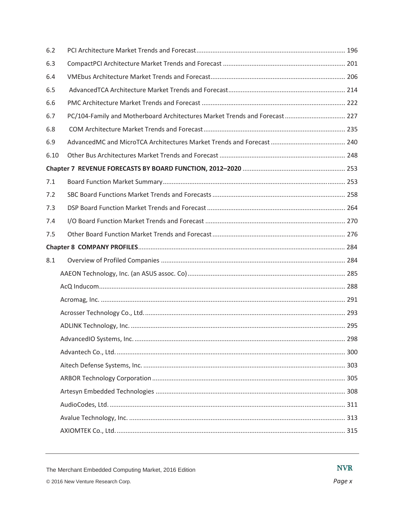| 6.2  |                                                                             |  |
|------|-----------------------------------------------------------------------------|--|
| 6.3  |                                                                             |  |
| 6.4  |                                                                             |  |
| 6.5  |                                                                             |  |
| 6.6  |                                                                             |  |
| 6.7  | PC/104-Family and Motherboard Architectures Market Trends and Forecast  227 |  |
| 6.8  |                                                                             |  |
| 6.9  |                                                                             |  |
| 6.10 |                                                                             |  |
|      |                                                                             |  |
| 7.1  |                                                                             |  |
| 7.2  |                                                                             |  |
| 7.3  |                                                                             |  |
| 7.4  |                                                                             |  |
| 7.5  |                                                                             |  |
|      |                                                                             |  |
| 8.1  |                                                                             |  |
|      |                                                                             |  |
|      |                                                                             |  |
|      |                                                                             |  |
|      |                                                                             |  |
|      |                                                                             |  |
|      |                                                                             |  |
|      |                                                                             |  |
|      |                                                                             |  |
|      |                                                                             |  |
|      |                                                                             |  |
|      |                                                                             |  |
|      |                                                                             |  |
|      |                                                                             |  |
|      |                                                                             |  |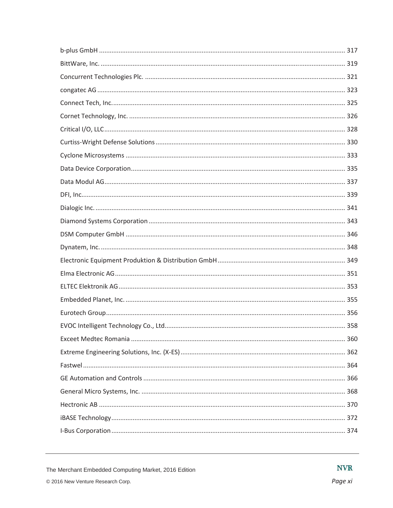The Merchant Embedded Computing Market, 2016 Edition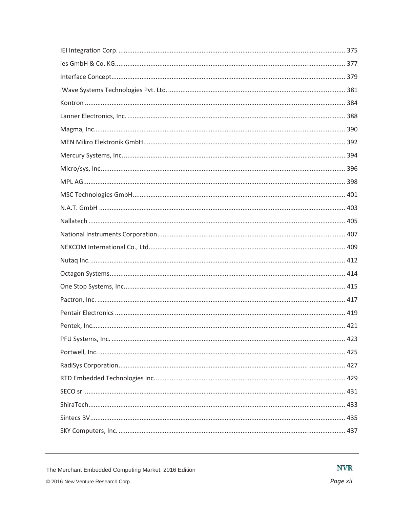The Merchant Embedded Computing Market, 2016 Edition

**NVR**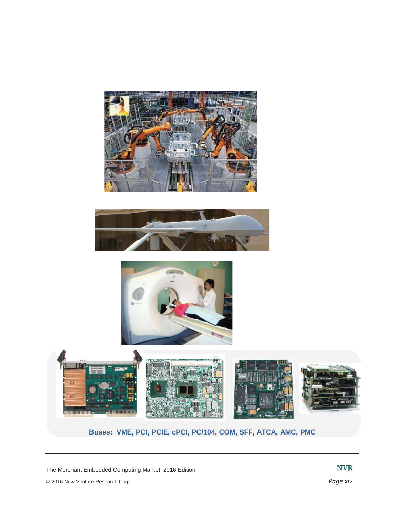







**Buses: VME, PCI, PCIE, cPCI, PC/104, COM, SFF, ATCA, AMC, PMC**

The Merchant Embedded Computing Market, 2016 Edition

© 2016 New Venture Research Corp. *Page xiv*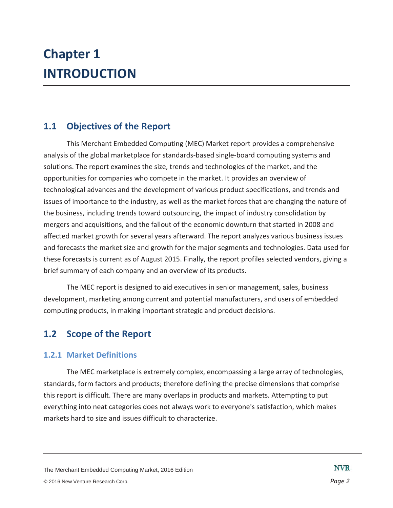## **Chapter 1 INTRODUCTION**

## **1.1 Objectives of the Report**

This Merchant Embedded Computing (MEC) Market report provides a comprehensive analysis of the global marketplace for standards-based single-board computing systems and solutions. The report examines the size, trends and technologies of the market, and the opportunities for companies who compete in the market. It provides an overview of technological advances and the development of various product specifications, and trends and issues of importance to the industry, as well as the market forces that are changing the nature of the business, including trends toward outsourcing, the impact of industry consolidation by mergers and acquisitions, and the fallout of the economic downturn that started in 2008 and affected market growth for several years afterward. The report analyzes various business issues and forecasts the market size and growth for the major segments and technologies. Data used for these forecasts is current as of August 2015. Finally, the report profiles selected vendors, giving a brief summary of each company and an overview of its products.

The MEC report is designed to aid executives in senior management, sales, business development, marketing among current and potential manufacturers, and users of embedded computing products, in making important strategic and product decisions.

## **1.2 Scope of the Report**

#### **1.2.1 Market Definitions**

The MEC marketplace is extremely complex, encompassing a large array of technologies, standards, form factors and products; therefore defining the precise dimensions that comprise this report is difficult. There are many overlaps in products and markets. Attempting to put everything into neat categories does not always work to everyone's satisfaction, which makes markets hard to size and issues difficult to characterize.

The Merchant Embedded Computing Market, 2016 Edition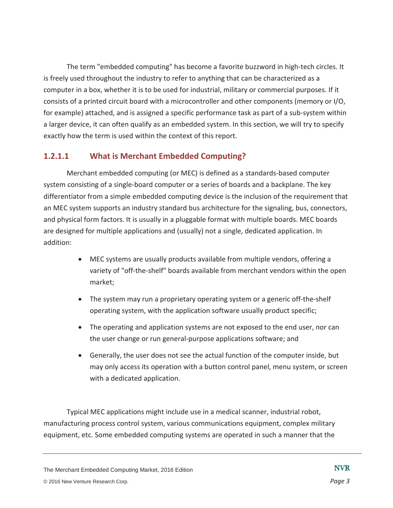The term "embedded computing" has become a favorite buzzword in high-tech circles. It is freely used throughout the industry to refer to anything that can be characterized as a computer in a box, whether it is to be used for industrial, military or commercial purposes. If it consists of a printed circuit board with a microcontroller and other components (memory or I/O, for example) attached, and is assigned a specific performance task as part of a sub-system within a larger device, it can often qualify as an embedded system. In this section, we will try to specify exactly how the term is used within the context of this report.

#### **1.2.1.1 What is Merchant Embedded Computing?**

Merchant embedded computing (or MEC) is defined as a standards-based computer system consisting of a single-board computer or a series of boards and a backplane. The key differentiator from a simple embedded computing device is the inclusion of the requirement that an MEC system supports an industry standard bus architecture for the signaling, bus, connectors, and physical form factors. It is usually in a pluggable format with multiple boards. MEC boards are designed for multiple applications and (usually) not a single, dedicated application. In addition:

- MEC systems are usually products available from multiple vendors, offering a variety of "off-the-shelf" boards available from merchant vendors within the open market;
- The system may run a proprietary operating system or a generic off-the-shelf operating system, with the application software usually product specific;
- The operating and application systems are not exposed to the end user, nor can the user change or run general-purpose applications software; and
- Generally, the user does not see the actual function of the computer inside, but may only access its operation with a button control panel, menu system, or screen with a dedicated application.

Typical MEC applications might include use in a medical scanner, industrial robot, manufacturing process control system, various communications equipment, complex military equipment, etc. Some embedded computing systems are operated in such a manner that the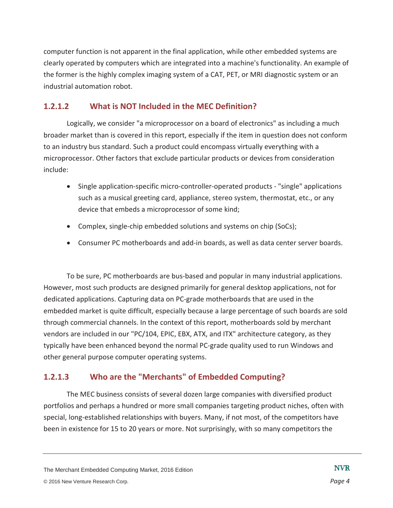computer function is not apparent in the final application, while other embedded systems are clearly operated by computers which are integrated into a machine's functionality. An example of the former is the highly complex imaging system of a CAT, PET, or MRI diagnostic system or an industrial automation robot.

#### **1.2.1.2 What is NOT Included in the MEC Definition?**

Logically, we consider "a microprocessor on a board of electronics" as including a much broader market than is covered in this report, especially if the item in question does not conform to an industry bus standard. Such a product could encompass virtually everything with a microprocessor. Other factors that exclude particular products or devices from consideration include:

- Single application-specific micro-controller-operated products "single" applications such as a musical greeting card, appliance, stereo system, thermostat, etc., or any device that embeds a microprocessor of some kind;
- Complex, single-chip embedded solutions and systems on chip (SoCs);
- Consumer PC motherboards and add-in boards, as well as data center server boards.

To be sure, PC motherboards are bus-based and popular in many industrial applications. However, most such products are designed primarily for general desktop applications, not for dedicated applications. Capturing data on PC-grade motherboards that are used in the embedded market is quite difficult, especially because a large percentage of such boards are sold through commercial channels. In the context of this report, motherboards sold by merchant vendors are included in our "PC/104, EPIC, EBX, ATX, and ITX" architecture category, as they typically have been enhanced beyond the normal PC-grade quality used to run Windows and other general purpose computer operating systems.

### **1.2.1.3 Who are the "Merchants" of Embedded Computing?**

The MEC business consists of several dozen large companies with diversified product portfolios and perhaps a hundred or more small companies targeting product niches, often with special, long-established relationships with buyers. Many, if not most, of the competitors have been in existence for 15 to 20 years or more. Not surprisingly, with so many competitors the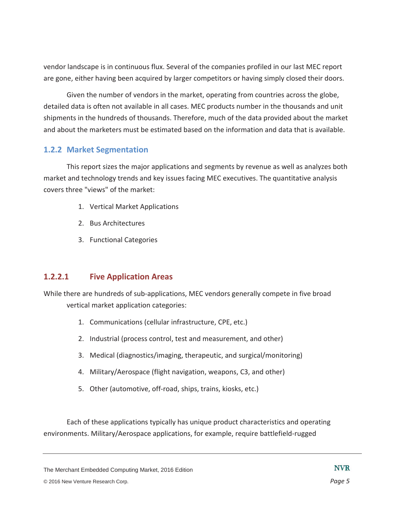vendor landscape is in continuous flux. Several of the companies profiled in our last MEC report are gone, either having been acquired by larger competitors or having simply closed their doors.

Given the number of vendors in the market, operating from countries across the globe, detailed data is often not available in all cases. MEC products number in the thousands and unit shipments in the hundreds of thousands. Therefore, much of the data provided about the market and about the marketers must be estimated based on the information and data that is available.

#### **1.2.2 Market Segmentation**

This report sizes the major applications and segments by revenue as well as analyzes both market and technology trends and key issues facing MEC executives. The quantitative analysis covers three "views" of the market:

- 1. Vertical Market Applications
- 2. Bus Architectures
- 3. Functional Categories

#### **1.2.2.1 Five Application Areas**

While there are hundreds of sub-applications, MEC vendors generally compete in five broad vertical market application categories:

- 1. Communications (cellular infrastructure, CPE, etc.)
- 2. Industrial (process control, test and measurement, and other)
- 3. Medical (diagnostics/imaging, therapeutic, and surgical/monitoring)
- 4. Military/Aerospace (flight navigation, weapons, C3, and other)
- 5. Other (automotive, off-road, ships, trains, kiosks, etc.)

Each of these applications typically has unique product characteristics and operating environments. Military/Aerospace applications, for example, require battlefield-rugged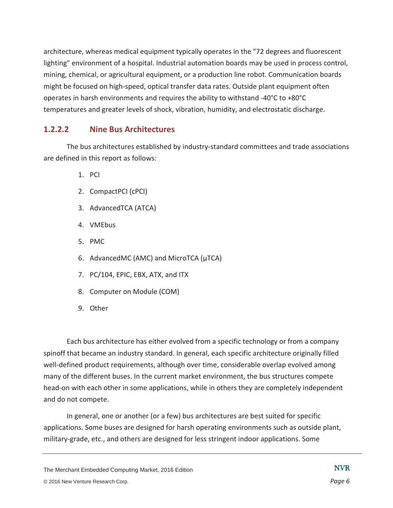architecture, whereas medical equipment typically operates in the "72 degrees and fluorescent lighting" environment of a hospital. Industrial automation boards may be used in process control, mining, chemical, or agricultural equipment, or a production line robot. Communication boards might be focused on high-speed, optical transfer data rates. Outside plant equipment often operates in harsh environments and requires the ability to withstand -40°C to +80°C temperatures and greater levels of shock, vibration, humidity, and electrostatic discharge.

#### **1.2.2.2 Nine Bus Architectures**

The bus architectures established by industry-standard committees and trade associations are defined in this report as follows:

- 1. PCI
- 2. CompactPCI (cPCI)
- 3. AdvancedTCA (ATCA)
- 4. VMEbus
- 5. PMC
- 6. AdvancedMC (AMC) and MicroTCA (μTCA)
- 7. PC/104, EPIC, EBX, ATX, and ITX
- 8. Computer on Module (COM)
- 9. Other

Each bus architecture has either evolved from a specific technology or from a company spinoff that became an industry standard. In general, each specific architecture originally filled well-defined product requirements, although over time, considerable overlap evolved among many of the different buses. In the current market environment, the bus structures compete head-on with each other in some applications, while in others they are completely independent and do not compete.

In general, one or another (or a few) bus architectures are best suited for specific applications. Some buses are designed for harsh operating environments such as outside plant, military-grade, etc., and others are designed for less stringent indoor applications. Some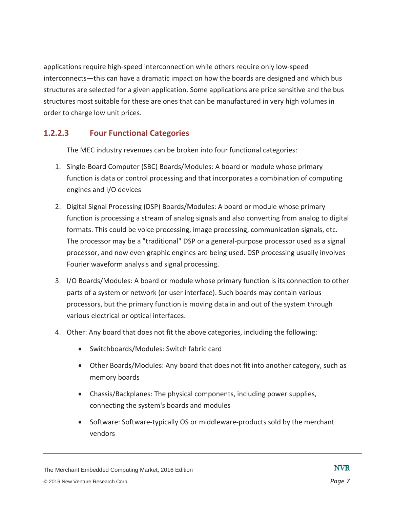applications require high-speed interconnection while others require only low-speed interconnects—this can have a dramatic impact on how the boards are designed and which bus structures are selected for a given application. Some applications are price sensitive and the bus structures most suitable for these are ones that can be manufactured in very high volumes in order to charge low unit prices.

### **1.2.2.3 Four Functional Categories**

The MEC industry revenues can be broken into four functional categories:

- 1. Single-Board Computer (SBC) Boards/Modules: A board or module whose primary function is data or control processing and that incorporates a combination of computing engines and I/O devices
- 2. Digital Signal Processing (DSP) Boards/Modules: A board or module whose primary function is processing a stream of analog signals and also converting from analog to digital formats. This could be voice processing, image processing, communication signals, etc. The processor may be a "traditional" DSP or a general-purpose processor used as a signal processor, and now even graphic engines are being used. DSP processing usually involves Fourier waveform analysis and signal processing.
- 3. I/O Boards/Modules: A board or module whose primary function is its connection to other parts of a system or network (or user interface). Such boards may contain various processors, but the primary function is moving data in and out of the system through various electrical or optical interfaces.
- 4. Other: Any board that does not fit the above categories, including the following:
	- Switchboards/Modules: Switch fabric card
	- Other Boards/Modules: Any board that does not fit into another category, such as memory boards
	- Chassis/Backplanes: The physical components, including power supplies, connecting the system's boards and modules
	- Software: Software-typically OS or middleware-products sold by the merchant vendors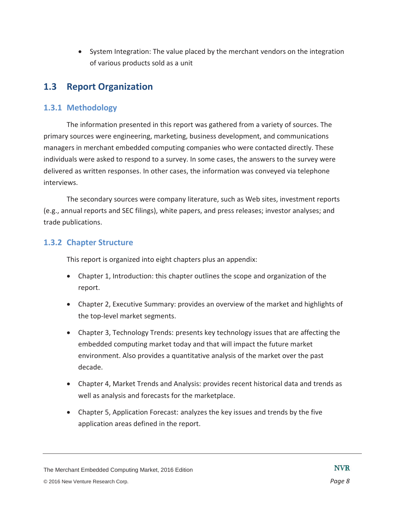• System Integration: The value placed by the merchant vendors on the integration of various products sold as a unit

## **1.3 Report Organization**

#### **1.3.1 Methodology**

The information presented in this report was gathered from a variety of sources. The primary sources were engineering, marketing, business development, and communications managers in merchant embedded computing companies who were contacted directly. These individuals were asked to respond to a survey. In some cases, the answers to the survey were delivered as written responses. In other cases, the information was conveyed via telephone interviews.

The secondary sources were company literature, such as Web sites, investment reports (e.g., annual reports and SEC filings), white papers, and press releases; investor analyses; and trade publications.

#### **1.3.2 Chapter Structure**

This report is organized into eight chapters plus an appendix:

- Chapter 1, Introduction: this chapter outlines the scope and organization of the report.
- Chapter 2, Executive Summary: provides an overview of the market and highlights of the top-level market segments.
- Chapter 3, Technology Trends: presents key technology issues that are affecting the embedded computing market today and that will impact the future market environment. Also provides a quantitative analysis of the market over the past decade.
- Chapter 4, Market Trends and Analysis: provides recent historical data and trends as well as analysis and forecasts for the marketplace.
- Chapter 5, Application Forecast: analyzes the key issues and trends by the five application areas defined in the report.